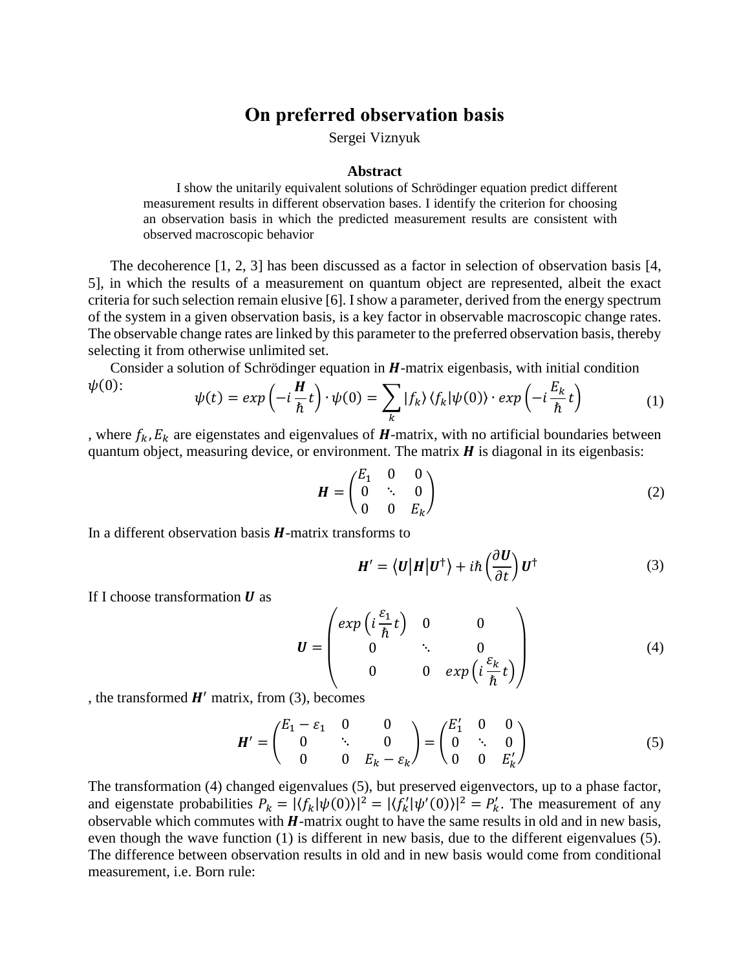## **On preferred observation basis**

Sergei Viznyuk

## **Abstract**

I show the unitarily equivalent solutions of Schrödinger equation predict different measurement results in different observation bases. I identify the criterion for choosing an observation basis in which the predicted measurement results are consistent with observed macroscopic behavior

The decoherence [1, 2, 3] has been discussed as a factor in selection of observation basis [4, 5], in which the results of a measurement on quantum object are represented, albeit the exact criteria for such selection remain elusive [6]. I show a parameter, derived from the energy spectrum of the system in a given observation basis, is a key factor in observable macroscopic change rates. The observable change rates are linked by this parameter to the preferred observation basis, thereby selecting it from otherwise unlimited set.

Consider a solution of Schrödinger equation in  $H$ -matrix eigenbasis, with initial condition  $\psi(0)$ :  $\boldsymbol{u}$  $\mathbf{r}$ 

$$
\psi(t) = exp\left(-i\frac{\mathbf{h}}{\hbar}t\right) \cdot \psi(0) = \sum_{k} |f_{k}\rangle \langle f_{k}|\psi(0)\rangle \cdot exp\left(-i\frac{E_{k}}{\hbar}t\right) \tag{1}
$$

, where  $f_k$ ,  $E_k$  are eigenstates and eigenvalues of  $H$ -matrix, with no artificial boundaries between quantum object, measuring device, or environment. The matrix  $H$  is diagonal in its eigenbasis:

$$
\boldsymbol{H} = \begin{pmatrix} E_1 & 0 & 0 \\ 0 & \ddots & 0 \\ 0 & 0 & E_k \end{pmatrix} \tag{2}
$$

In a different observation basis  $H$ -matrix transforms to

$$
\mathbf{H}' = \langle \mathbf{U} | \mathbf{H} | \mathbf{U}^{\dagger} \rangle + i\hbar \left( \frac{\partial \mathbf{U}}{\partial t} \right) \mathbf{U}^{\dagger} \tag{3}
$$

If I choose transformation  $\boldsymbol{U}$  as

$$
\boldsymbol{U} = \begin{pmatrix} exp\left(i\frac{\varepsilon_1}{\hbar}t\right) & 0 & 0 \\ 0 & \ddots & 0 \\ 0 & 0 & exp\left(i\frac{\varepsilon_k}{\hbar}t\right) \end{pmatrix}
$$
(4)

, the transformed  $H'$  matrix, from (3), becomes

$$
\boldsymbol{H}' = \begin{pmatrix} E_1 - \varepsilon_1 & 0 & 0 \\ 0 & \ddots & 0 \\ 0 & 0 & E_k - \varepsilon_k \end{pmatrix} = \begin{pmatrix} E'_1 & 0 & 0 \\ 0 & \ddots & 0 \\ 0 & 0 & E'_k \end{pmatrix}
$$
(5)

The transformation (4) changed eigenvalues (5), but preserved eigenvectors, up to a phase factor, and eigenstate probabilities  $P_k = |\langle f_k | \psi(0) \rangle|^2 = |\langle f'_k | \psi'(0) \rangle|^2 = P'_k$ . The measurement of any observable which commutes with  $H$ -matrix ought to have the same results in old and in new basis, even though the wave function (1) is different in new basis, due to the different eigenvalues (5). The difference between observation results in old and in new basis would come from conditional measurement, i.e. Born rule: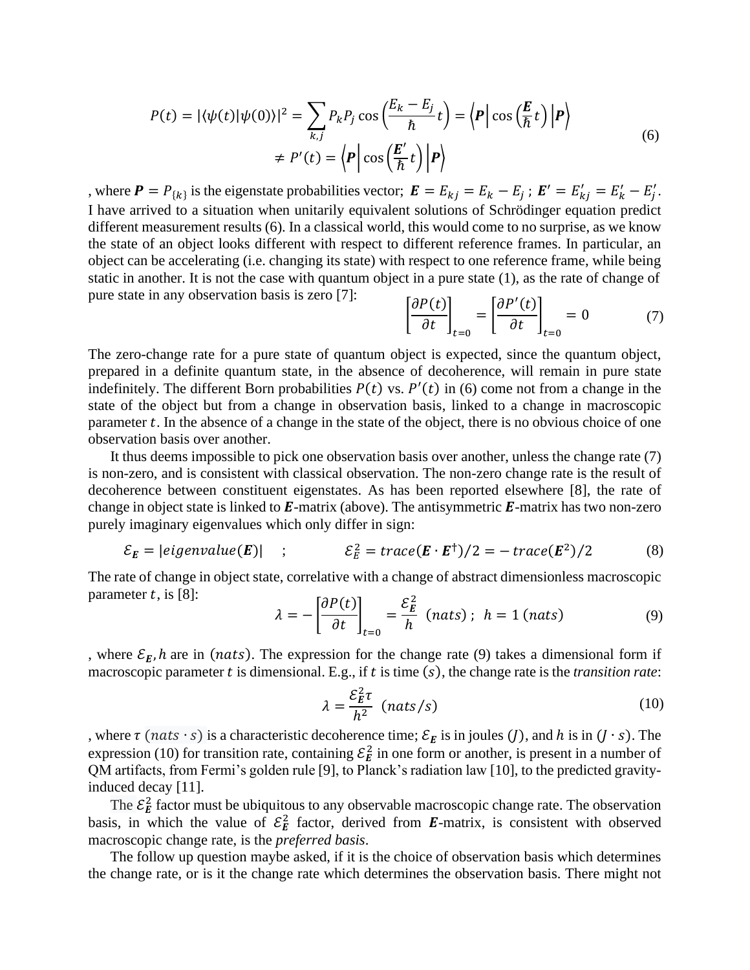$$
P(t) = |\langle \psi(t) | \psi(0) \rangle|^2 = \sum_{k,j} P_k P_j \cos\left(\frac{E_k - E_j}{\hbar} t\right) = \left\langle P \Big| \cos\left(\frac{E}{\hbar} t\right) \Big| P \right\rangle
$$
  

$$
\neq P'(t) = \left\langle P \Big| \cos\left(\frac{E'}{\hbar} t\right) \Big| P \right\rangle
$$
(6)

, where  $P = P_{\{k\}}$  is the eigenstate probabilities vector;  $E = E_{kj} = E_k - E_j$ ;  $E' = E'_{kj} = E'_k - E'_j$ . I have arrived to a situation when unitarily equivalent solutions of Schrödinger equation predict different measurement results (6). In a classical world, this would come to no surprise, as we know the state of an object looks different with respect to different reference frames. In particular, an object can be accelerating (i.e. changing its state) with respect to one reference frame, while being static in another. It is not the case with quantum object in a pure state (1), as the rate of change of pure state in any observation basis is zero [7]:

$$
\left[\frac{\partial P(t)}{\partial t}\right]_{t=0} = \left[\frac{\partial P'(t)}{\partial t}\right]_{t=0} = 0 \tag{7}
$$

The zero-change rate for a pure state of quantum object is expected, since the quantum object, prepared in a definite quantum state, in the absence of decoherence, will remain in pure state indefinitely. The different Born probabilities  $P(t)$  vs.  $P'(t)$  in (6) come not from a change in the state of the object but from a change in observation basis, linked to a change in macroscopic parameter  $t$ . In the absence of a change in the state of the object, there is no obvious choice of one observation basis over another.

It thus deems impossible to pick one observation basis over another, unless the change rate (7) is non-zero, and is consistent with classical observation. The non-zero change rate is the result of decoherence between constituent eigenstates. As has been reported elsewhere [8], the rate of change in object state is linked to  $E$ -matrix (above). The antisymmetric  $E$ -matrix has two non-zero purely imaginary eigenvalues which only differ in sign:

$$
\mathcal{E}_E = |eigenvalue(E)| \quad ; \qquad \qquad \mathcal{E}_E^2 = trace(E \cdot E^\dagger)/2 = -trace(E^2)/2 \qquad \qquad (8)
$$

The rate of change in object state, correlative with a change of abstract dimensionless macroscopic parameter  $t$ , is [8]: 2

$$
\lambda = -\left[\frac{\partial P(t)}{\partial t}\right]_{t=0} = \frac{\mathcal{E}_E^2}{h} \text{ (nats)}; \quad h = 1 \text{ (nats)}\tag{9}
$$

, where  $\mathcal{E}_E$ , h are in (nats). The expression for the change rate (9) takes a dimensional form if macroscopic parameter  $t$  is dimensional. E.g., if  $t$  is time  $(s)$ , the change rate is the *transition rate*:

$$
\lambda = \frac{\mathcal{E}_E^2 \tau}{h^2} \quad (nats/s)
$$
 (10)

, where  $\tau$  (*nats*  $\cdot$  *s*) is a characteristic decoherence time;  $\mathcal{E}_E$  is in joules (*J*), and *h* is in (*J*  $\cdot$  *s*). The expression (10) for transition rate, containing  $\mathcal{E}_E^2$  in one form or another, is present in a number of QM artifacts, from Fermi's golden rule [9], to Planck's radiation law [10], to the predicted gravityinduced decay [11].

The  $\mathcal{E}_E^2$  factor must be ubiquitous to any observable macroscopic change rate. The observation basis, in which the value of  $\mathcal{E}_E^2$  factor, derived from **E**-matrix, is consistent with observed macroscopic change rate, is the *preferred basis*.

The follow up question maybe asked, if it is the choice of observation basis which determines the change rate, or is it the change rate which determines the observation basis. There might not